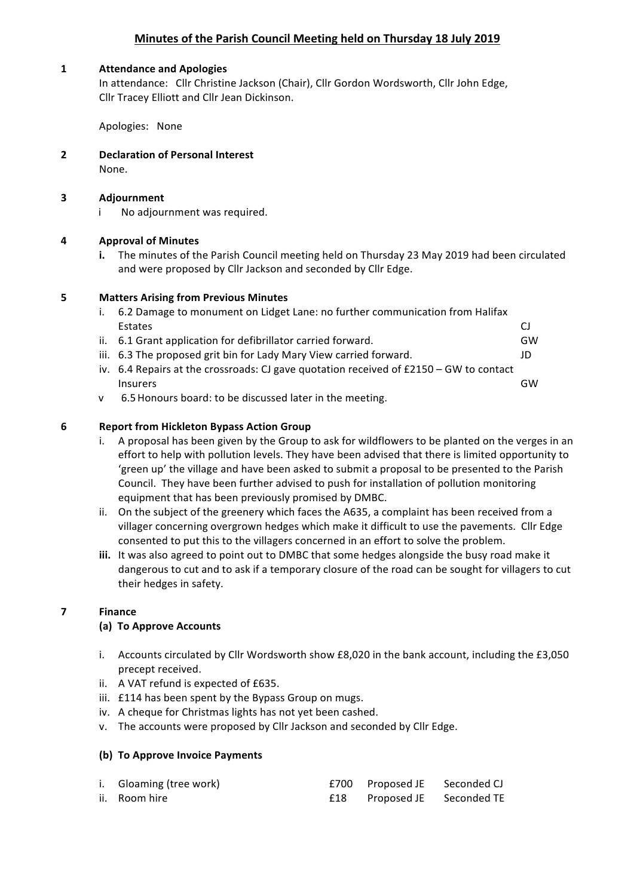# **Minutes of the Parish Council Meeting held on Thursday 18 July 2019**

### 1 **Attendance and Apologies**

In attendance: Cllr Christine Jackson (Chair), Cllr Gordon Wordsworth, Cllr John Edge, Cllr Tracey Elliott and Cllr Jean Dickinson.

Apologies: None

**2 Declaration of Personal Interest** None.

# **3 Adjournment**

i No adjournment was required.

# **4 Approval of Minutes**

**i.** The minutes of the Parish Council meeting held on Thursday 23 May 2019 had been circulated and were proposed by Cllr Jackson and seconded by Cllr Edge.

# **5 Matters Arising from Previous Minutes**

- i. 6.2 Damage to monument on Lidget Lane: no further communication from Halifax Estates CJ ii. 6.1 Grant application for defibrillator carried forward. GW iii. 6.3 The proposed grit bin for Lady Mary View carried forward. JD
- iv.  $6.4$  Repairs at the crossroads: CJ gave quotation received of £2150 GW to contact Insurers GW
- v 6.5 Honours board: to be discussed later in the meeting.

# **6 Report from Hickleton Bypass Action Group**

- i. A proposal has been given by the Group to ask for wildflowers to be planted on the verges in an effort to help with pollution levels. They have been advised that there is limited opportunity to 'green up' the village and have been asked to submit a proposal to be presented to the Parish Council. They have been further advised to push for installation of pollution monitoring equipment that has been previously promised by DMBC.
- ii. On the subject of the greenery which faces the A635, a complaint has been received from a villager concerning overgrown hedges which make it difficult to use the pavements. Cllr Edge consented to put this to the villagers concerned in an effort to solve the problem.
- **iii.** It was also agreed to point out to DMBC that some hedges alongside the busy road make it dangerous to cut and to ask if a temporary closure of the road can be sought for villagers to cut their hedges in safety.

#### **7 Finance**

# **(a) To Approve Accounts**

- i. Accounts circulated by Cllr Wordsworth show £8,020 in the bank account, including the £3,050 precept received.
- ii. A VAT refund is expected of £635.
- iii. £114 has been spent by the Bypass Group on mugs.
- iv. A cheque for Christmas lights has not yet been cashed.
- v. The accounts were proposed by Cllr Jackson and seconded by Cllr Edge.

#### **(b) To Approve Invoice Payments**

| i. Gloaming (tree work) | £700 Proposed JE Seconded CJ |  |
|-------------------------|------------------------------|--|
| ii. Room hire           | £18 Proposed JE Seconded TE  |  |